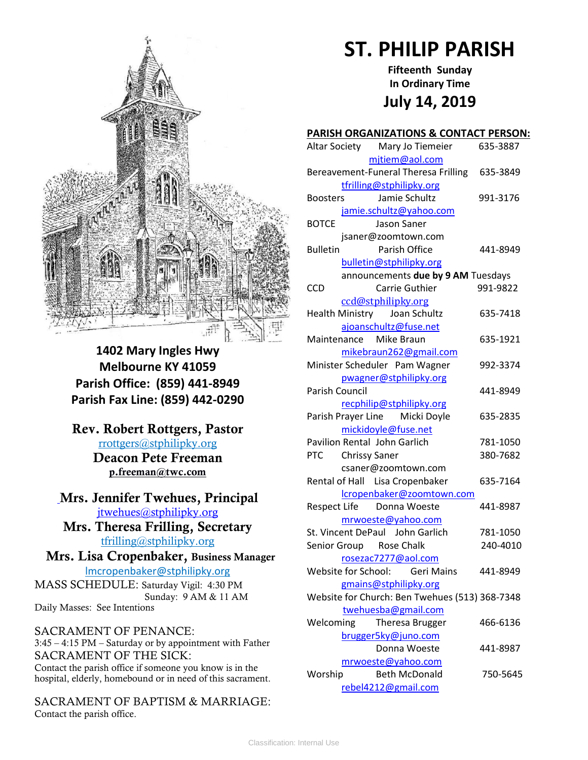

**1402 Mary Ingles Hwy Melbourne KY 41059 Parish Office: (859) 441-8949 Parish Fax Line: (859) 442-0290**

**Rev. Robert Rottgers, Pastor**  [rrottgers@stphilipky.org](mailto:rrottgers@stphilipky.org) **Deacon Pete Freeman p.freeman@twc.com**

# **Mrs. Jennifer Twehues, Principal** [jtwehues@stphilipky.org](mailto:jtwehues@stphilipky.org)

**Mrs. Theresa Frilling, Secretary**  [tfrilling@stphilipky.org](mailto:tfrilling@stphilipky.org)

 **Mrs. Lisa Cropenbaker, Business Manager**  lmcropenbaker@stphilipky.org

MASS SCHEDULE: Saturday Vigil: 4:30 PM Sunday: 9 AM & 11 AM Daily Masses: See Intentions

SACRAMENT OF PENANCE: 3:45 – 4:15 PM – Saturday or by appointment with Father SACRAMENT OF THE SICK: Contact the parish office if someone you know is in the hospital, elderly, homebound or in need of this sacrament.

SACRAMENT OF BAPTISM & MARRIAGE: Contact the parish office.

# **ST. PHILIP PARISH**

**Fifteenth Sunday In Ordinary Time July 14, 2019**

#### **PARISH ORGANIZATIONS & CONTACT PERSON:**

| Altar Society Mary Jo Tiemeier                 | 635-3887 |
|------------------------------------------------|----------|
| mjtiem@aol.com                                 |          |
| Bereavement-Funeral Theresa Frilling           | 635-3849 |
| tfrilling@stphilipky.org                       |          |
| Jamie Schultz<br><b>Boosters</b>               | 991-3176 |
| jamie.schultz@yahoo.com                        |          |
| <b>BOTCE</b><br>Jason Saner                    |          |
| jsaner@zoomtown.com                            |          |
| <b>Bulletin</b><br>Parish Office               | 441-8949 |
| bulletin@stphilipky.org                        |          |
| announcements due by 9 AM Tuesdays             |          |
| Carrie Guthier<br><b>CCD</b>                   | 991-9822 |
| ccd@stphilipky.org                             |          |
| Health Ministry Joan Schultz                   | 635-7418 |
| ajoanschultz@fuse.net                          |          |
| Maintenance Mike Braun                         | 635-1921 |
| mikebraun262@gmail.com                         |          |
| Minister Scheduler Pam Wagner                  | 992-3374 |
| pwagner@stphilipky.org                         |          |
| <b>Parish Council</b>                          | 441-8949 |
| recphilip@stphilipky.org                       |          |
| Parish Prayer Line Micki Doyle                 | 635-2835 |
| mickidoyle@fuse.net                            |          |
| Pavilion Rental John Garlich                   | 781-1050 |
| PTC Chrissy Saner                              | 380-7682 |
| csaner@zoomtown.com                            |          |
| Rental of Hall Lisa Cropenbaker                | 635-7164 |
| lcropenbaker@zoomtown.com                      |          |
| Respect Life Donna Woeste                      | 441-8987 |
| mrwoeste@yahoo.com                             |          |
| St. Vincent DePaul John Garlich                | 781-1050 |
| Senior Group Rose Chalk                        | 240-4010 |
| rosezac7277@aol.com                            |          |
| Website for School: Geri Mains                 | 441-8949 |
| gmains@stphilipky.org                          |          |
| Website for Church: Ben Twehues (513) 368-7348 |          |
| twehuesba@gmail.com                            |          |
| Welcoming<br>Theresa Brugger                   | 466-6136 |
| brugger5ky@juno.com                            |          |
| Donna Woeste                                   | 441-8987 |
| mrwoeste@yahoo.com                             |          |
| Worship<br><b>Beth McDonald</b>                | 750-5645 |
| rebel4212@gmail.com                            |          |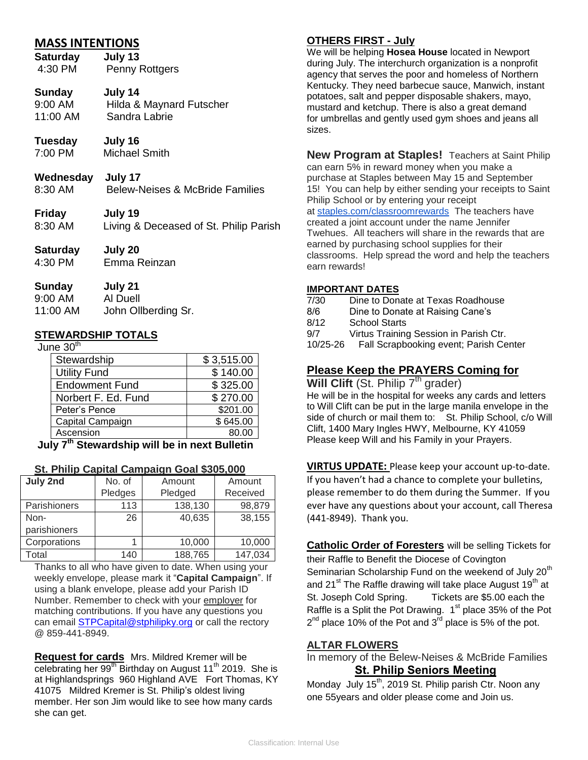# **MASS INTENTIONS**

**Saturday July 13**  4:30 PM Penny Rottgers

## **Sunday July 14**

- 9:00 AM Hilda & Maynard Futscher 11:00 AM Sandra Labrie
- **Tuesday July 16** 7:00 PM Michael Smith
- 
- **Wednesday July 17** 8:30 AM Belew-Neises & McBride Families
- **Friday July 19** 8:30 AM Living & Deceased of St. Philip Parish
- **Saturday July 20** 4:30 PM Emma Reinzan
- **Sunday July 21** 9:00 AM Al Duell 11:00 AM John Ollberding Sr.

# **STEWARDSHIP TOTALS**

June  $30<sup>th</sup>$ 

| Stewardship                                  | \$3,515.00 |  |
|----------------------------------------------|------------|--|
| <b>Utility Fund</b>                          | \$140.00   |  |
| <b>Endowment Fund</b>                        | \$325.00   |  |
| Norbert F. Ed. Fund                          | \$270.00   |  |
| Peter's Pence                                | \$201.00   |  |
| Capital Campaign                             | \$645.00   |  |
| Ascension                                    | 80.00      |  |
| hr 7th Ctourandebin will be in nort Dulletin |            |  |

**July 7th Stewardship will be in next Bulletin**

#### **St. Philip Capital Campaign Goal \$305,000**

| July 2nd     | No. of  | Amount  | Amount   |
|--------------|---------|---------|----------|
|              | Pledges | Pledged | Received |
| Parishioners | 113     | 138,130 | 98,879   |
| Non-         | 26      | 40,635  | 38,155   |
| parishioners |         |         |          |
| Corporations |         | 10,000  | 10,000   |
| Total        | 140     | 188,765 | 147,034  |

Thanks to all who have given to date. When using your weekly envelope, please mark it "**Capital Campaign**". If using a blank envelope, please add your Parish ID Number. Remember to check with your employer for matching contributions. If you have any questions you can email **STPCapital@stphilipky.org** or call the rectory @ 859-441-8949.

**Request for cards** Mrs. Mildred Kremer will be celebrating her 99<sup>th</sup> Birthday on August 11<sup>th</sup> 2019. She is at Highlandsprings 960 Highland AVE Fort Thomas, KY 41075 Mildred Kremer is St. Philip's oldest living member. Her son Jim would like to see how many cards she can get.

### **OTHERS FIRST - July**

We will be helping **Hosea House** located in Newport during July. The interchurch organization is a nonprofit agency that serves the poor and homeless of Northern Kentucky. They need barbecue sauce, Manwich, instant potatoes, salt and pepper disposable shakers, mayo, mustard and ketchup. There is also a great demand for umbrellas and gently used gym shoes and jeans all sizes.

**New Program at Staples!** Teachers at Saint Philip can earn 5% in reward money when you make a purchase at Staples between May 15 and September 15! You can help by either sending your receipts to Saint Philip School or by entering your receipt at [staples.com/classroomrewards](http://staples.com/classroomrewards) The teachers have created a joint account under the name Jennifer Twehues. All teachers will share in the rewards that are earned by purchasing school supplies for their classrooms. Help spread the word and help the teachers earn rewards!

#### **IMPORTANT DATES**

- 7/30 Dine to Donate at Texas Roadhouse
- 8/6 Dine to Donate at Raising Cane's
- 8/12 School Starts
- 9/7 Virtus Training Session in Parish Ctr.
- 10/25-26 Fall Scrapbooking event; Parish Center

## **Please Keep the PRAYERS Coming for**

**Will Clift** (St. Philip 7<sup>th</sup> grader) He will be in the hospital for weeks any cards and letters to Will Clift can be put in the large manila envelope in the side of church or mail them to: St. Philip School, c/o Will Clift, 1400 Mary Ingles HWY, Melbourne, KY 41059 Please keep Will and his Family in your Prayers.

**VIRTUS UPDATE:** Please keep your account up-to-date. If you haven't had a chance to complete your bulletins, please remember to do them during the Summer. If you ever have any questions about your account, call Theresa (441-8949). Thank you.

**Catholic Order of Foresters** will be selling Tickets for their Raffle to Benefit the Diocese of Covington Seminarian Scholarship Fund on the weekend of July 20<sup>th</sup> and 21 $^{\rm st}$  The Raffle drawing will take place August 19 $^{\rm th}$  at St. Joseph Cold Spring. Tickets are \$5.00 each the Raffle is a Split the Pot Drawing.  $1<sup>st</sup>$  place 35% of the Pot  $2^{nd}$  place 10% of the Pot and 3<sup>rd</sup> place is 5% of the pot.

#### **ALTAR FLOWERS**

In memory of the Belew-Neises & McBride Families  **St. Philip Seniors Meeting** 

Monday July 15<sup>th</sup>, 2019 St. Philip parish Ctr. Noon any one 55years and older please come and Join us.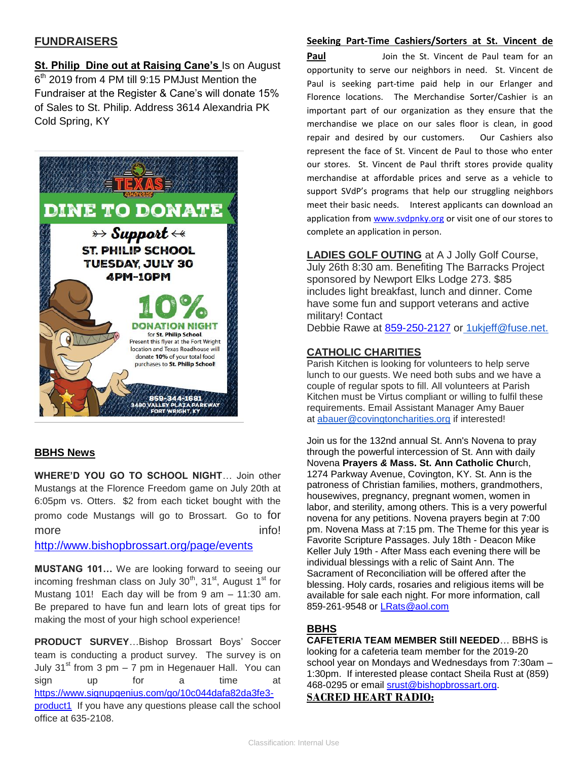# **FUNDRAISERS**

**St. Philip Dine out at Raising Cane's** Is on August 6<sup>th</sup> 2019 from 4 PM till 9:15 PMJust Mention the Fundraiser at the Register & Cane's will donate 15% of Sales to St. Philip. Address 3614 Alexandria PK Cold Spring, KY



#### **BBHS News**

**WHERE'D YOU GO TO SCHOOL NIGHT**… Join other Mustangs at the Florence Freedom game on July 20th at 6:05pm vs. Otters. \$2 from each ticket bought with the promo code Mustangs will go to Brossart. Go to for more info!

<http://www.bishopbrossart.org/page/events>

**MUSTANG 101…** We are looking forward to seeing our incoming freshman class on July  $30^{th}$ ,  $31^{st}$ , August  $1^{st}$  for Mustang 101! Each day will be from 9 am – 11:30 am. Be prepared to have fun and learn lots of great tips for making the most of your high school experience!

**PRODUCT SURVEY**…Bishop Brossart Boys' Soccer team is conducting a product survey. The survey is on July  $31<sup>st</sup>$  from 3 pm – 7 pm in Hegenauer Hall. You can sign up for a time at [https://www.signupgenius.com/go/10c044dafa82da3fe3](https://www.signupgenius.com/go/10c044dafa82da3fe3-product1) [product1](https://www.signupgenius.com/go/10c044dafa82da3fe3-product1) If you have any questions please call the school office at 635-2108.

#### **Seeking Part-Time Cashiers/Sorters at St. Vincent de**

**Paul Come St.** Vincent de Paul team for an opportunity to serve our neighbors in need. St. Vincent de Paul is seeking part-time paid help in our Erlanger and Florence locations. The Merchandise Sorter/Cashier is an important part of our organization as they ensure that the merchandise we place on our sales floor is clean, in good repair and desired by our customers. Our Cashiers also represent the face of St. Vincent de Paul to those who enter our stores. St. Vincent de Paul thrift stores provide quality merchandise at affordable prices and serve as a vehicle to support SVdP's programs that help our struggling neighbors meet their basic needs.Interest applicants can download an application from [www.svdpnky.org](http://www.svdpnky.org/) or visit one of our stores to complete an application in person.

**LADIES GOLF OUTING** at A J Jolly Golf Course, July 26th 8:30 am. Benefiting The Barracks Project sponsored by Newport Elks Lodge 273. \$85 includes light breakfast, lunch and dinner. Come have some fun and support veterans and active military! Contact

Debbie Rawe at [859-250-2127](mailto:859-250-2127) or [1ukjeff@fuse.net.](mailto:+1ukjeff@fuse.net.)

#### **CATHOLIC CHARITIES**

Parish Kitchen is looking for volunteers to help serve lunch to our guests. We need both subs and we have a couple of regular spots to fill. All volunteers at Parish Kitchen must be Virtus compliant or willing to fulfil these requirements. Email Assistant Manager Amy Bauer at [abauer@covingtoncharities.org](mailto:abauer@covingtoncharities.org) if interested!

Join us for the 132nd annual St. Ann's Novena to pray through the powerful intercession of St. Ann with daily Novena **Prayers** *&* **Mass. St. Ann Catholic Chu**rch, 1274 Parkway Avenue, Covington, KY. St. Ann is the patroness of Christian families, mothers, grandmothers, housewives, pregnancy, pregnant women, women in labor, and sterility, among others. This is a very powerful novena for any petitions. Novena prayers begin at 7:00 pm. Novena Mass at 7:15 pm. The Theme for this year is Favorite Scripture Passages. July 18th - Deacon Mike Keller July 19th - After Mass each evening there will be individual blessings with a relic of Saint Ann. The Sacrament of Reconciliation will be offered after the blessing. Holy cards, rosaries and religious items will be available for sale each night. For more information, call 859-261-9548 or LRats*@*[aol.com](mailto:LRats@aol.com)

## **BBHS**

**CAFETERIA TEAM MEMBER Still NEEDED**… BBHS is looking for a cafeteria team member for the 2019-20 school year on Mondays and Wednesdays from 7:30am – 1:30pm. If interested please contact Sheila Rust at (859) 468-0295 or email [srust@bishopbrossart.org.](mailto:srust@bishopbrossart.org) **SACRED HEART RADIO:**